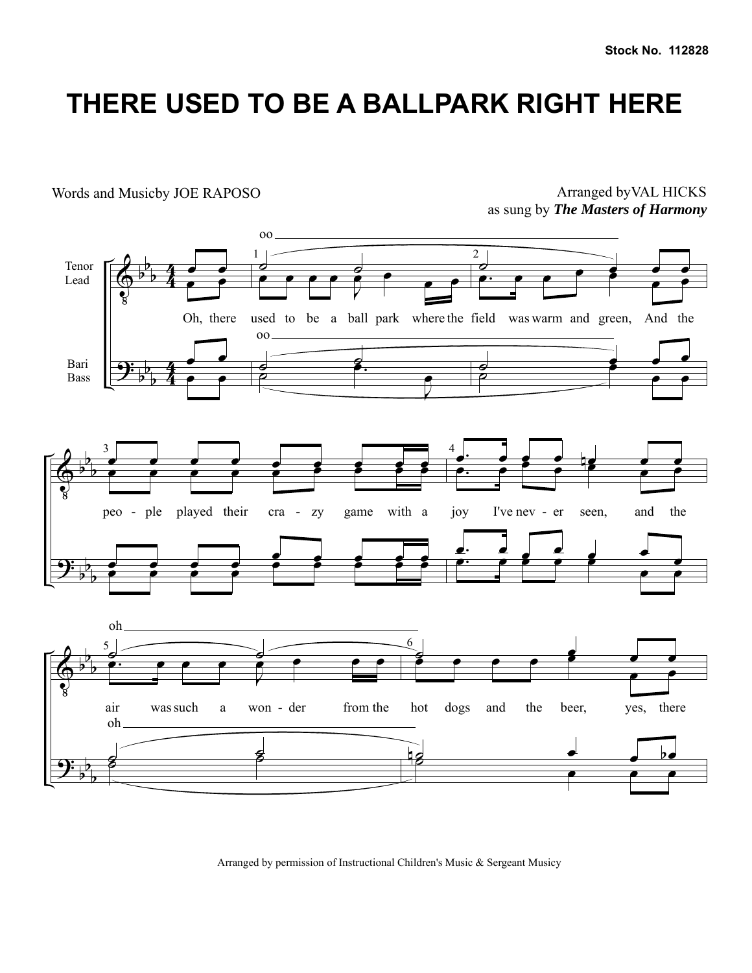## **THERE USED TO BE A BALLPARK RIGHT HERE**

 $\Phi$ <u>..</u> b b b b b b  $\frac{4}{4}$ 4  $\frac{4}{4}$ 4 Tenor Lead Bari Bass  $\overrightarrow{e}$ œ œ Oh, there œ œ  $\overline{\cdot}$ 1  $\overline{0}$ oo ∞<br>● ● ● ● ● *●* e<br>A  $\overline{\mathbf{e}}$ used to be a ball park where the field was warm and green, And the  $\overline{\phantom{a}}$ oo  $\frac{1}{2}$ e.<br><del>C</del> œ 2  $\overrightarrow{c}$   $\overrightarrow{c}$   $\overrightarrow{c}$ œ. œ œ œ œ <u>. .</u><br>————————————————————  $\frac{1}{2}$ ˙ œ  $\overline{\cdot}$  $\pmb{\Phi}$ <u>.</u> b b b b b b 3 œ œ œ œ œ œ œ œ œ œ œ œ œ œ œ œ œ œ peo - ple played their cra - zy game with a joy I've nev œ œ œ œ  $\frac{1}{2}$   $\frac{1}{2}$   $\frac{1}{2}$   $\frac{1}{2}$   $\frac{1}{2}$ <u>。 </u> e e e e e e 4  $\frac{1}{2}$   $\frac{1}{2}$   $\frac{1}{2}$   $\frac{1}{2}$   $\frac{1}{2}$   $\frac{1}{2}$ œ. œ œ œ œ œ œ joy I've nev - er seen, and the œ. œ œ œ œ œ <u>e. e e e e e</u> <u>. г</u>  $\pmb{\Phi}$ <u>.</u> b b b b b b 5  $\overline{\phantom{a}}$ oh œ. <sup>œ</sup> <sup>œ</sup> <sup>œ</sup> <sup>J</sup>  $\bullet$ air was such a won - der from the  $\begin{array}{ccc} & & & & \textcirc \ & & & \textcirc \ & & & & \textcirc \ & & & & & \textcirc \ \end{array}$ oh  $\begin{array}{c} \circ \\ \circ \end{array}$ 6 ˙ œ œ œ œ œ œ œ œ e e hot dogs and the beer, yes, there  $\frac{1}{2}$ e e e Arranged byVAL HICKS as sung by *The Masters of Harmony* Words and Musicby JOE RAPOSO

Arranged by permission of Instructional Children's Music & Sergeant Musicy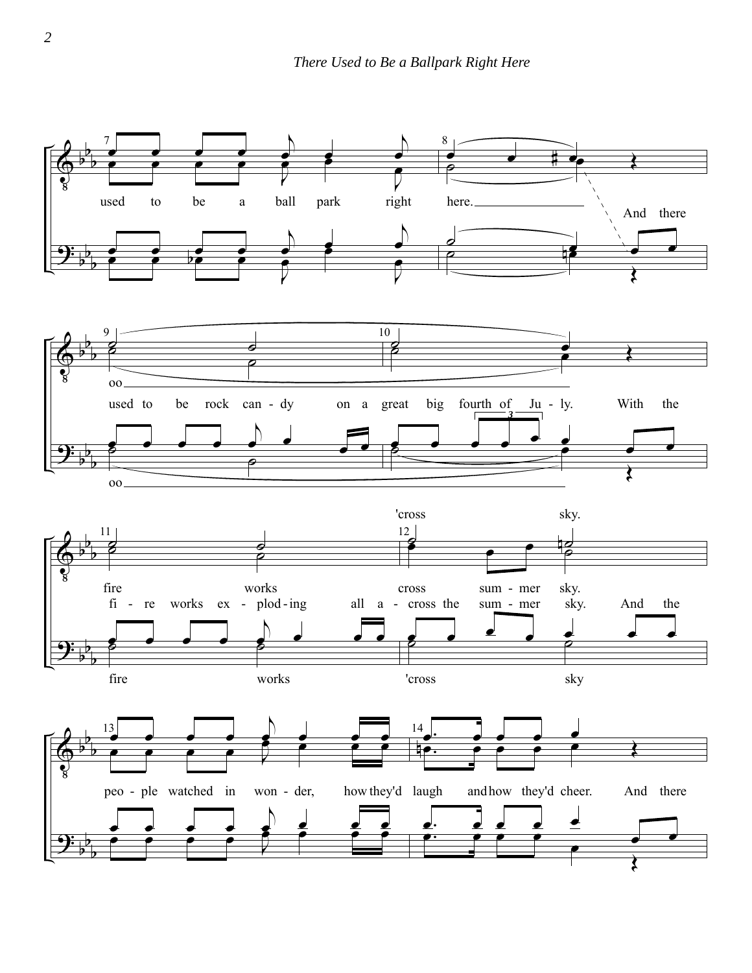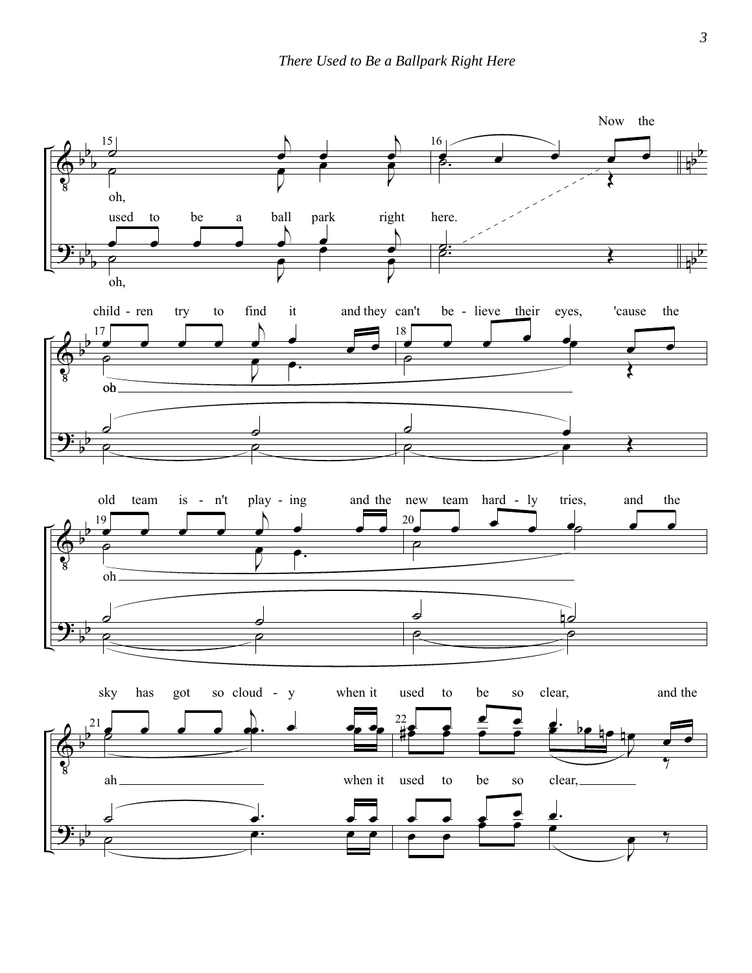